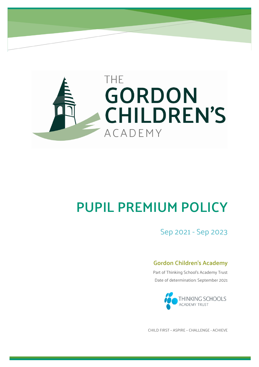

# **PUPIL PREMIUM POLICY**

# Sep 2021 - Sep 2023

# **Gordon Children's Academy**

Part of Thinking School's Academy Trust Date of determination: September 2021



CHILD FIRST – ASPIRE – CHALLENGE - ACHIEVE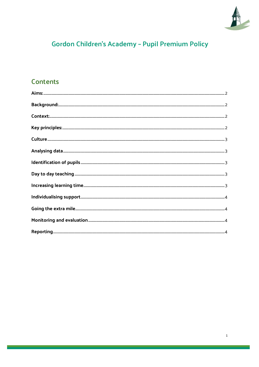

 $\mathbf{1}$ 

# Gordon Children's Academy - Pupil Premium Policy

# **Contents**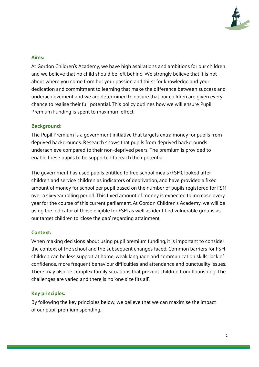

## <span id="page-2-0"></span>**Aims:**

At Gordon Children's Academy, we have high aspirations and ambitions for our children and we believe that no child should be left behind. We strongly believe that it is not about where you come from but your passion and thirst for knowledge and your dedication and commitment to learning that make the difference between success and underachievement and we are determined to ensure that our children are given every chance to realise their full potential. This policy outlines how we will ensure Pupil Premium Funding is spent to maximum effect.

## <span id="page-2-1"></span>**Background:**

The Pupil Premium is a government initiative that targets extra money for pupils from deprived backgrounds. Research shows that pupils from deprived backgrounds underachieve compared to their non-deprived peers. The premium is provided to enable these pupils to be supported to reach their potential.

The government has used pupils entitled to free school meals (FSM), looked after children and service children as indicators of deprivation, and have provided a fixed amount of money for school per pupil based on the number of pupils registered for FSM over a six-year rolling period. This fixed amount of money is expected to increase every year for the course of this current parliament. At Gordon Children's Academy, we will be using the indicator of those eligible for FSM as well as identified vulnerable groups as our target children to 'close the gap' regarding attainment.

# <span id="page-2-2"></span>**Context:**

When making decisions about using pupil premium funding, it is important to consider the context of the school and the subsequent changes faced. Common barriers for FSM children can be less support at home, weak language and communication skills, lack of confidence, more frequent behaviour difficulties and attendance and punctuality issues. There may also be complex family situations that prevent children from flourishing. The challenges are varied and there is no 'one size fits all'.

#### <span id="page-2-3"></span>**Key principles:**

By following the key principles below, we believe that we can maximise the impact of our pupil premium spending.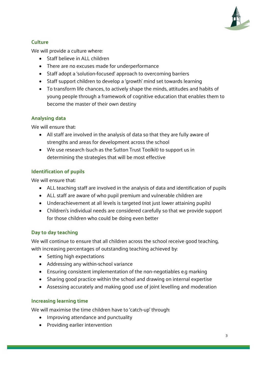

# <span id="page-3-0"></span>**Culture**

We will provide a culture where:

- Staff believe in ALL children
- There are no excuses made for underperformance
- Staff adopt a 'solution-focused' approach to overcoming barriers
- Staff support children to develop a 'growth' mind set towards learning
- To transform life chances, to actively shape the minds, attitudes and habits of young people through a framework of cognitive education that enables them to become the master of their own destiny

# <span id="page-3-1"></span>**Analysing data**

We will ensure that:

- All staff are involved in the analysis of data so that they are fully aware of strengths and areas for development across the school
- We use research (such as the Sutton Trust Toolkit) to support us in determining the strategies that will be most effective

# <span id="page-3-2"></span>**Identification of pupils**

We will ensure that:

- ALL teaching staff are involved in the analysis of data and identification of pupils
- ALL staff are aware of who pupil premium and vulnerable children are
- Underachievement at all levels is targeted (not just lower attaining pupils)
- Children's individual needs are considered carefully so that we provide support for those children who could be doing even better

# <span id="page-3-3"></span>**Day to day teaching**

We will continue to ensure that all children across the school receive good teaching, with increasing percentages of outstanding teaching achieved by:

- Setting high expectations
- Addressing any within-school variance
- Ensuring consistent implementation of the non-negotiables e.g marking
- Sharing good practice within the school and drawing on internal expertise
- Assessing accurately and making good use of joint levelling and moderation

# <span id="page-3-4"></span>**Increasing learning time**

We will maximise the time children have to 'catch-up' through:

- Improving attendance and punctuality
- Providing earlier intervention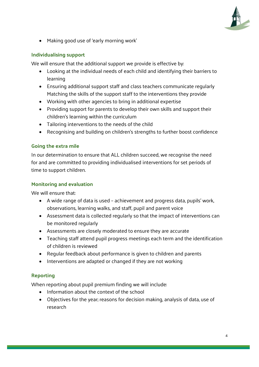

• Making good use of 'early morning work'

### <span id="page-4-0"></span>**Individualising support**

We will ensure that the additional support we provide is effective by:

- Looking at the individual needs of each child and identifying their barriers to learning
- Ensuring additional support staff and class teachers communicate regularly Matching the skills of the support staff to the interventions they provide
- Working with other agencies to bring in additional expertise
- Providing support for parents to develop their own skills and support their children's learning within the curriculum
- Tailoring interventions to the needs of the child
- Recognising and building on children's strengths to further boost confidence

#### <span id="page-4-1"></span>**Going the extra mile**

In our determination to ensure that ALL children succeed, we recognise the need for and are committed to providing individualised interventions for set periods of time to support children.

#### <span id="page-4-2"></span>**Monitoring and evaluation**

We will ensure that:

- A wide range of data is used achievement and progress data, pupils' work, observations, learning walks, and staff, pupil and parent voice
- Assessment data is collected regularly so that the impact of interventions can be monitored regularly
- Assessments are closely moderated to ensure they are accurate
- Teaching staff attend pupil progress meetings each term and the identification of children is reviewed
- Regular feedback about performance is given to children and parents
- Interventions are adapted or changed if they are not working

#### <span id="page-4-3"></span>**Reporting**

When reporting about pupil premium finding we will include:

- Information about the context of the school
- Objectives for the year; reasons for decision making, analysis of data, use of research